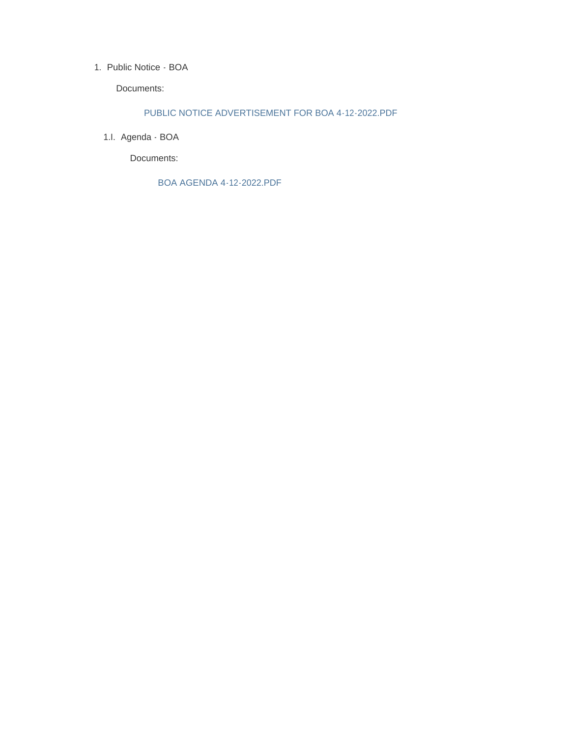## 1. Public Notice - BOA

Documents:

## PUBLIC NOTICE ADVERTISEMENT FOR BOA 4-12-2022.PDF

1.l. Agenda - BOA

Documents:

BOA AGENDA 4-12-2022.PDF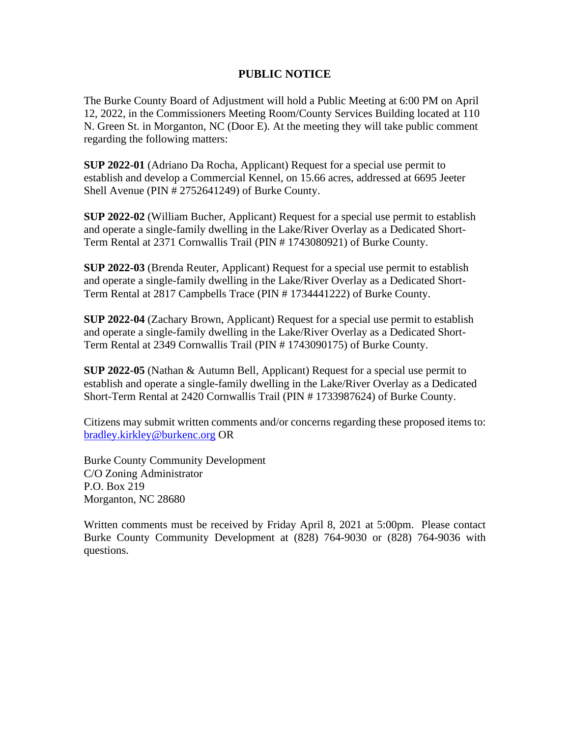## **PUBLIC NOTICE**

The Burke County Board of Adjustment will hold a Public Meeting at 6:00 PM on April 12, 2022, in the Commissioners Meeting Room/County Services Building located at 110 N. Green St. in Morganton, NC (Door E). At the meeting they will take public comment regarding the following matters:

**SUP 2022-01** (Adriano Da Rocha, Applicant) Request for a special use permit to establish and develop a Commercial Kennel, on 15.66 acres, addressed at 6695 Jeeter Shell Avenue (PIN # 2752641249) of Burke County.

**SUP 2022-02** (William Bucher, Applicant) Request for a special use permit to establish and operate a single-family dwelling in the Lake/River Overlay as a Dedicated Short-Term Rental at 2371 Cornwallis Trail (PIN # 1743080921) of Burke County.

**SUP 2022-03** (Brenda Reuter, Applicant) Request for a special use permit to establish and operate a single-family dwelling in the Lake/River Overlay as a Dedicated Short-Term Rental at 2817 Campbells Trace (PIN # 1734441222) of Burke County.

**SUP 2022-04** (Zachary Brown, Applicant) Request for a special use permit to establish and operate a single-family dwelling in the Lake/River Overlay as a Dedicated Short-Term Rental at 2349 Cornwallis Trail (PIN # 1743090175) of Burke County.

**SUP 2022-05** (Nathan & Autumn Bell, Applicant) Request for a special use permit to establish and operate a single-family dwelling in the Lake/River Overlay as a Dedicated Short-Term Rental at 2420 Cornwallis Trail (PIN # 1733987624) of Burke County.

Citizens may submit written comments and/or concerns regarding these proposed items to: [bradley.kirkley@burkenc.org](mailto:bradley.kirkley@burkenc.org) OR

Burke County Community Development C/O Zoning Administrator P.O. Box 219 Morganton, NC 28680

Written comments must be received by Friday April 8, 2021 at 5:00pm. Please contact Burke County Community Development at (828) 764-9030 or (828) 764-9036 with questions.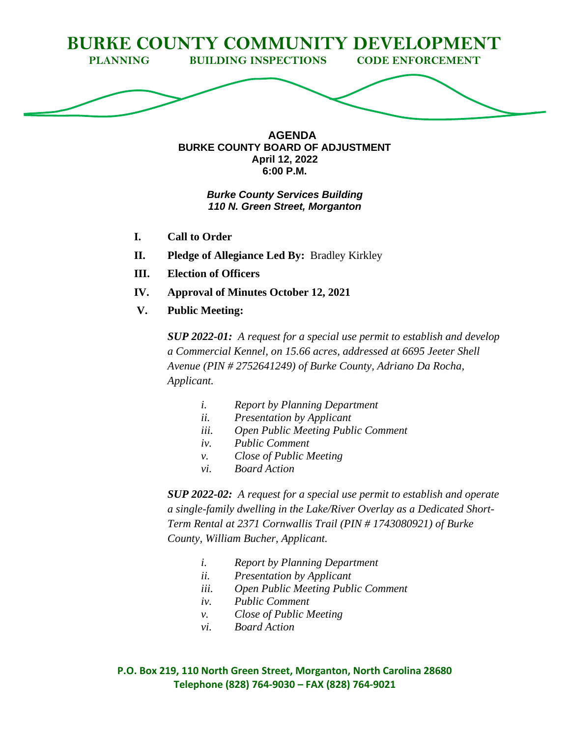

**AGENDA BURKE COUNTY BOARD OF ADJUSTMENT April 12, 2022 6:00 P.M.**

## *Burke County Services Building 110 N. Green Street, Morganton*

- **I. Call to Order**
- **II. Pledge of Allegiance Led By:** Bradley Kirkley
- **III. Election of Officers**
- **IV. Approval of Minutes October 12, 2021**
- **V. Public Meeting:**

*SUP 2022-01: A request for a special use permit to establish and develop a Commercial Kennel, on 15.66 acres, addressed at 6695 Jeeter Shell Avenue (PIN # 2752641249) of Burke County, Adriano Da Rocha, Applicant.*

- *i. Report by Planning Department*
- *ii. Presentation by Applicant*
- *iii. Open Public Meeting Public Comment*
- *iv. Public Comment*
- *v. Close of Public Meeting*
- *vi. Board Action*

*SUP 2022-02: A request for a special use permit to establish and operate a single-family dwelling in the Lake/River Overlay as a Dedicated Short-Term Rental at 2371 Cornwallis Trail (PIN # 1743080921) of Burke County, William Bucher, Applicant.*

- *i. Report by Planning Department*
- *ii. Presentation by Applicant*
- *iii. Open Public Meeting Public Comment*
- *iv. Public Comment*
- *v. Close of Public Meeting*
- *vi. Board Action*

**P.O. Box 219, 110 North Green Street, Morganton, North Carolina 28680 Telephone (828) 764-9030 – FAX (828) 764-9021**